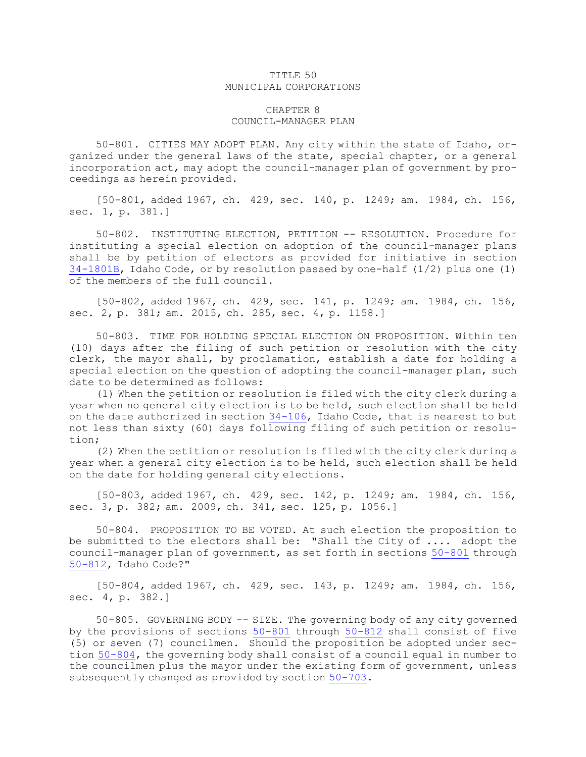## TITLE 50 MUNICIPAL CORPORATIONS

## CHAPTER 8 COUNCIL-MANAGER PLAN

50-801. CITIES MAY ADOPT PLAN. Any city within the state of Idaho, organized under the general laws of the state, special chapter, or <sup>a</sup> general incorporation act, may adopt the council-manager plan of government by proceedings as herein provided.

[50-801, added 1967, ch. 429, sec. 140, p. 1249; am. 1984, ch. 156, sec. 1, p. 381.]

50-802. INSTITUTING ELECTION, PETITION -- RESOLUTION. Procedure for instituting <sup>a</sup> special election on adoption of the council-manager plans shall be by petition of electors as provided for initiative in section  $34-1801B$ , Idaho Code, or by resolution passed by one-half (1/2) plus one (1) of the members of the full council.

[50-802, added 1967, ch. 429, sec. 141, p. 1249; am. 1984, ch. 156, sec. 2, p. 381; am. 2015, ch. 285, sec. 4, p. 1158.]

50-803. TIME FOR HOLDING SPECIAL ELECTION ON PROPOSITION. Within ten (10) days after the filing of such petition or resolution with the city clerk, the mayor shall, by proclamation, establish <sup>a</sup> date for holding <sup>a</sup> special election on the question of adopting the council-manager plan, such date to be determined as follows:

(1) When the petition or resolution is filed with the city clerk during <sup>a</sup> year when no general city election is to be held, such election shall be held on the date authorized in section [34-106](https://legislature.idaho.gov/statutesrules/idstat/Title34/T34CH1/SECT34-106), Idaho Code, that is nearest to but not less than sixty (60) days following filing of such petition or resolution;

(2) When the petition or resolution is filed with the city clerk during <sup>a</sup> year when <sup>a</sup> general city election is to be held, such election shall be held on the date for holding general city elections.

[50-803, added 1967, ch. 429, sec. 142, p. 1249; am. 1984, ch. 156, sec. 3, p. 382; am. 2009, ch. 341, sec. 125, p. 1056.]

50-804. PROPOSITION TO BE VOTED. At such election the proposition to be submitted to the electors shall be: "Shall the City of .... adopt the council-manager plan of government, as set forth in sections [50-801](https://legislature.idaho.gov/statutesrules/idstat/Title50/T50CH8/SECT50-801) through [50-812](https://legislature.idaho.gov/statutesrules/idstat/Title50/T50CH8/SECT50-812), Idaho Code?"

[50-804, added 1967, ch. 429, sec. 143, p. 1249; am. 1984, ch. 156, sec. 4, p. 382.]

50-805. GOVERNING BODY -- SIZE. The governing body of any city governed by the provisions of sections [50-801](https://legislature.idaho.gov/statutesrules/idstat/Title50/T50CH8/SECT50-801) through [50-812](https://legislature.idaho.gov/statutesrules/idstat/Title50/T50CH8/SECT50-812) shall consist of five (5) or seven (7) councilmen. Should the proposition be adopted under section [50-804](https://legislature.idaho.gov/statutesrules/idstat/Title50/T50CH8/SECT50-804), the governing body shall consist of <sup>a</sup> council equal in number to the councilmen plus the mayor under the existing form of government, unless subsequently changed as provided by section [50-703](https://legislature.idaho.gov/statutesrules/idstat/Title50/T50CH7/SECT50-703).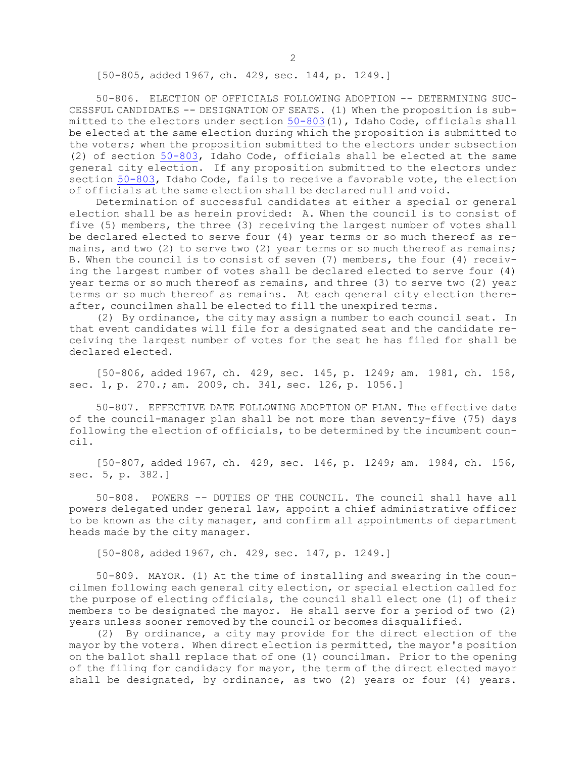[50-805, added 1967, ch. 429, sec. 144, p. 1249.]

50-806. ELECTION OF OFFICIALS FOLLOWING ADOPTION -- DETERMINING SUC-CESSFUL CANDIDATES -- DESIGNATION OF SEATS. (1) When the proposition is submitted to the electors under section  $50-803(1)$  $50-803(1)$ , Idaho Code, officials shall be elected at the same election during which the proposition is submitted to the voters; when the proposition submitted to the electors under subsection (2) of section [50-803](https://legislature.idaho.gov/statutesrules/idstat/Title50/T50CH8/SECT50-803), Idaho Code, officials shall be elected at the same general city election. If any proposition submitted to the electors under section [50-803](https://legislature.idaho.gov/statutesrules/idstat/Title50/T50CH8/SECT50-803), Idaho Code, fails to receive <sup>a</sup> favorable vote, the election of officials at the same election shall be declared null and void.

Determination of successful candidates at either <sup>a</sup> special or general election shall be as herein provided: A. When the council is to consist of five (5) members, the three (3) receiving the largest number of votes shall be declared elected to serve four (4) year terms or so much thereof as remains, and two (2) to serve two (2) year terms or so much thereof as remains; B. When the council is to consist of seven (7) members, the four (4) receiving the largest number of votes shall be declared elected to serve four (4) year terms or so much thereof as remains, and three (3) to serve two (2) year terms or so much thereof as remains. At each general city election thereafter, councilmen shall be elected to fill the unexpired terms.

(2) By ordinance, the city may assign <sup>a</sup> number to each council seat. In that event candidates will file for <sup>a</sup> designated seat and the candidate receiving the largest number of votes for the seat he has filed for shall be declared elected.

[50-806, added 1967, ch. 429, sec. 145, p. 1249; am. 1981, ch. 158, sec. 1, p. 270.; am. 2009, ch. 341, sec. 126, p. 1056.]

50-807. EFFECTIVE DATE FOLLOWING ADOPTION OF PLAN. The effective date of the council-manager plan shall be not more than seventy-five (75) days following the election of officials, to be determined by the incumbent council.

[50-807, added 1967, ch. 429, sec. 146, p. 1249; am. 1984, ch. 156, sec. 5, p. 382.]

50-808. POWERS -- DUTIES OF THE COUNCIL. The council shall have all powers delegated under general law, appoint <sup>a</sup> chief administrative officer to be known as the city manager, and confirm all appointments of department heads made by the city manager.

[50-808, added 1967, ch. 429, sec. 147, p. 1249.]

50-809. MAYOR. (1) At the time of installing and swearing in the councilmen following each general city election, or special election called for the purpose of electing officials, the council shall elect one (1) of their members to be designated the mayor. He shall serve for <sup>a</sup> period of two (2) years unless sooner removed by the council or becomes disqualified.

(2) By ordinance, <sup>a</sup> city may provide for the direct election of the mayor by the voters. When direct election is permitted, the mayor's position on the ballot shall replace that of one (1) councilman. Prior to the opening of the filing for candidacy for mayor, the term of the direct elected mayor shall be designated, by ordinance, as two (2) years or four (4) years.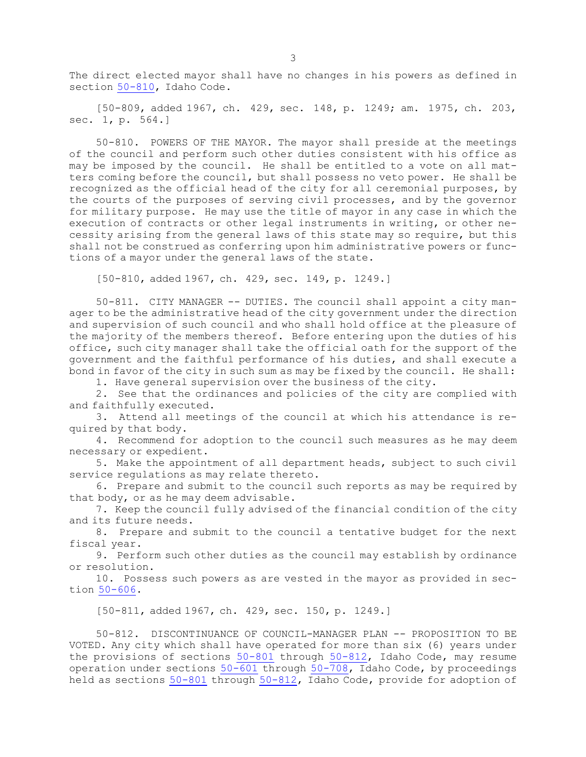The direct elected mayor shall have no changes in his powers as defined in section [50-810](https://legislature.idaho.gov/statutesrules/idstat/Title50/T50CH8/SECT50-810), Idaho Code.

[50-809, added 1967, ch. 429, sec. 148, p. 1249; am. 1975, ch. 203, sec. 1, p. 564.]

50-810. POWERS OF THE MAYOR. The mayor shall preside at the meetings of the council and perform such other duties consistent with his office as may be imposed by the council. He shall be entitled to <sup>a</sup> vote on all matters coming before the council, but shall possess no veto power. He shall be recognized as the official head of the city for all ceremonial purposes, by the courts of the purposes of serving civil processes, and by the governor for military purpose. He may use the title of mayor in any case in which the execution of contracts or other legal instruments in writing, or other necessity arising from the general laws of this state may so require, but this shall not be construed as conferring upon him administrative powers or functions of <sup>a</sup> mayor under the general laws of the state.

[50-810, added 1967, ch. 429, sec. 149, p. 1249.]

50-811. CITY MANAGER -- DUTIES. The council shall appoint <sup>a</sup> city manager to be the administrative head of the city government under the direction and supervision of such council and who shall hold office at the pleasure of the majority of the members thereof. Before entering upon the duties of his office, such city manager shall take the official oath for the support of the government and the faithful performance of his duties, and shall execute <sup>a</sup> bond in favor of the city in such sum as may be fixed by the council. He shall:

1. Have general supervision over the business of the city.

2. See that the ordinances and policies of the city are complied with and faithfully executed.

3. Attend all meetings of the council at which his attendance is required by that body.

4. Recommend for adoption to the council such measures as he may deem necessary or expedient.

5. Make the appointment of all department heads, subject to such civil service regulations as may relate thereto.

6. Prepare and submit to the council such reports as may be required by that body, or as he may deem advisable.

7. Keep the council fully advised of the financial condition of the city and its future needs.

8. Prepare and submit to the council <sup>a</sup> tentative budget for the next fiscal year.

9. Perform such other duties as the council may establish by ordinance or resolution.

10. Possess such powers as are vested in the mayor as provided in section [50-606](https://legislature.idaho.gov/statutesrules/idstat/Title50/T50CH6/SECT50-606).

[50-811, added 1967, ch. 429, sec. 150, p. 1249.]

50-812. DISCONTINUANCE OF COUNCIL-MANAGER PLAN -- PROPOSITION TO BE VOTED. Any city which shall have operated for more than six (6) years under the provisions of sections [50-801](https://legislature.idaho.gov/statutesrules/idstat/Title50/T50CH8/SECT50-801) through [50-812](https://legislature.idaho.gov/statutesrules/idstat/Title50/T50CH8/SECT50-812), Idaho Code, may resume operation under sections [50-601](https://legislature.idaho.gov/statutesrules/idstat/Title50/T50CH6/SECT50-601) through [50-708](https://legislature.idaho.gov/statutesrules/idstat/Title50/T50CH7/SECT50-708), Idaho Code, by proceedings held as sections [50-801](https://legislature.idaho.gov/statutesrules/idstat/Title50/T50CH8/SECT50-801) through [50-812](https://legislature.idaho.gov/statutesrules/idstat/Title50/T50CH8/SECT50-812), Idaho Code, provide for adoption of